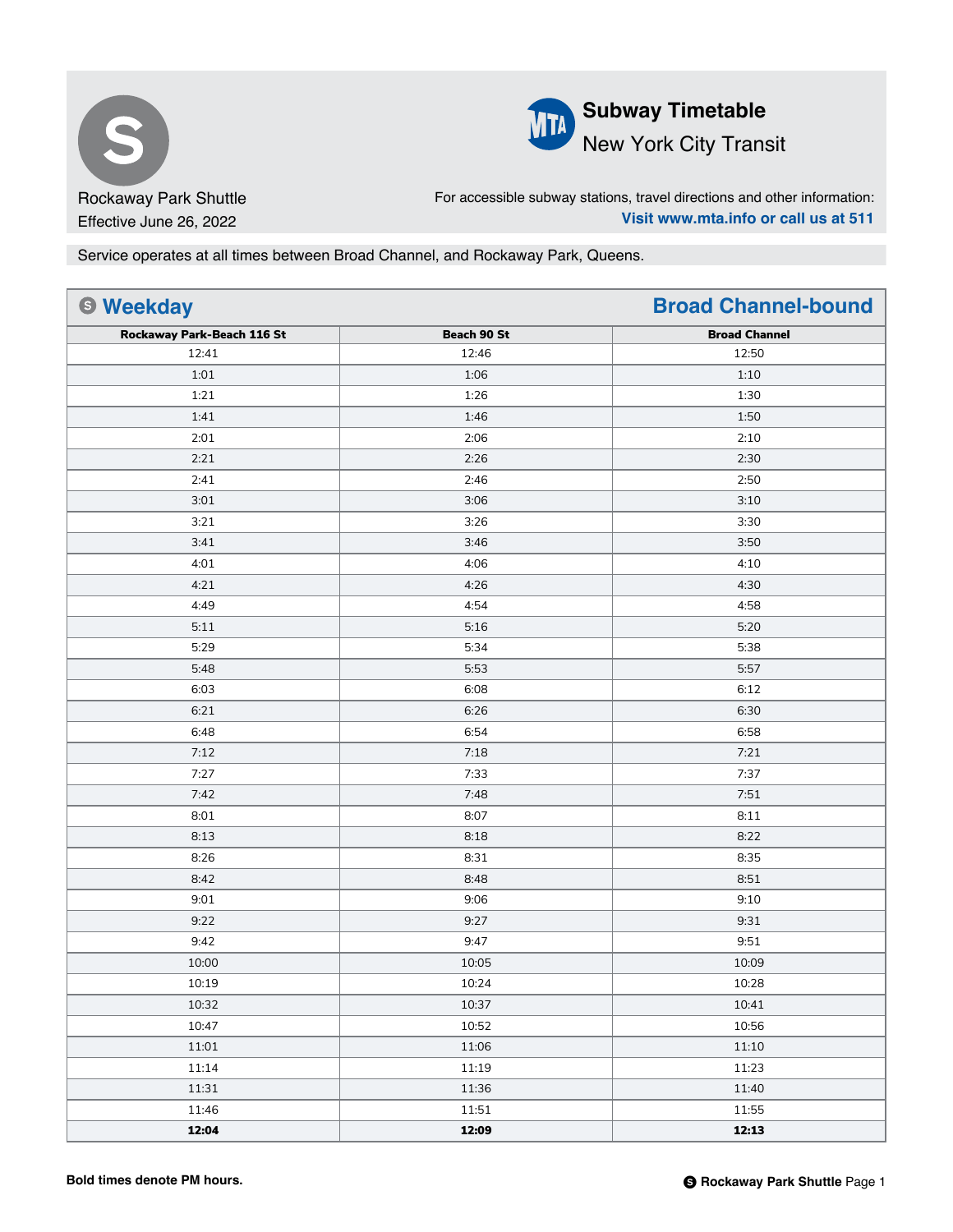



For accessible subway stations, travel directions and other information: **Visit www.mta.info or call us at 511**

Service operates at all times between Broad Channel, and Rockaway Park, Queens.

| <b>6 Weekday</b>           |             | <b>Broad Channel-bound</b> |
|----------------------------|-------------|----------------------------|
| Rockaway Park-Beach 116 St | Beach 90 St | <b>Broad Channel</b>       |
| 12:41                      | 12:46       | 12:50                      |
| 1:01                       | 1:06        | 1:10                       |
| 1:21                       | 1:26        | 1:30                       |
| 1:41                       | 1:46        | 1:50                       |
| 2:01                       | 2:06        | 2:10                       |
| 2:21                       | 2:26        | 2:30                       |
| 2:41                       | 2:46        | 2:50                       |
| 3:01                       | 3:06        | 3:10                       |
| 3:21                       | 3:26        | 3:30                       |
| 3:41                       | 3:46        | 3:50                       |
| 4:01                       | 4:06        | 4:10                       |
| 4:21                       | 4:26        | 4:30                       |
| 4:49                       | 4:54        | 4:58                       |
| 5:11                       | 5:16        | 5:20                       |
| 5:29                       | 5:34        | 5:38                       |
| 5:48                       | 5:53        | 5:57                       |
| 6:03                       | 6:08        | 6:12                       |
| 6:21                       | 6:26        | 6:30                       |
| 6:48                       | 6:54        | 6:58                       |
| 7:12                       | 7:18        | 7:21                       |
| 7:27                       | 7:33        | 7:37                       |
| 7:42                       | 7:48        | 7:51                       |
| 8:01                       | 8:07        | 8:11                       |
| 8:13                       | 8:18        | 8:22                       |
| 8:26                       | 8:31        | 8:35                       |
| 8:42                       | 8:48        | 8:51                       |
| 9:01                       | 9:06        | 9:10                       |
| 9:22                       | 9:27        | 9:31                       |
| 9:42                       | 9:47        | 9:51                       |
| 10:00                      | 10:05       | 10:09                      |
| 10:19                      | 10:24       | 10:28                      |
| 10:32                      | 10:37       | 10:41                      |
| 10:47                      | 10:52       | 10:56                      |
| 11:01                      | 11:06       | 11:10                      |
| 11:14                      | 11:19       | 11:23                      |
| 11:31                      | 11:36       | 11:40                      |
| 11:46                      | 11:51       | 11:55                      |
| 12:04                      | 12:09       | 12:13                      |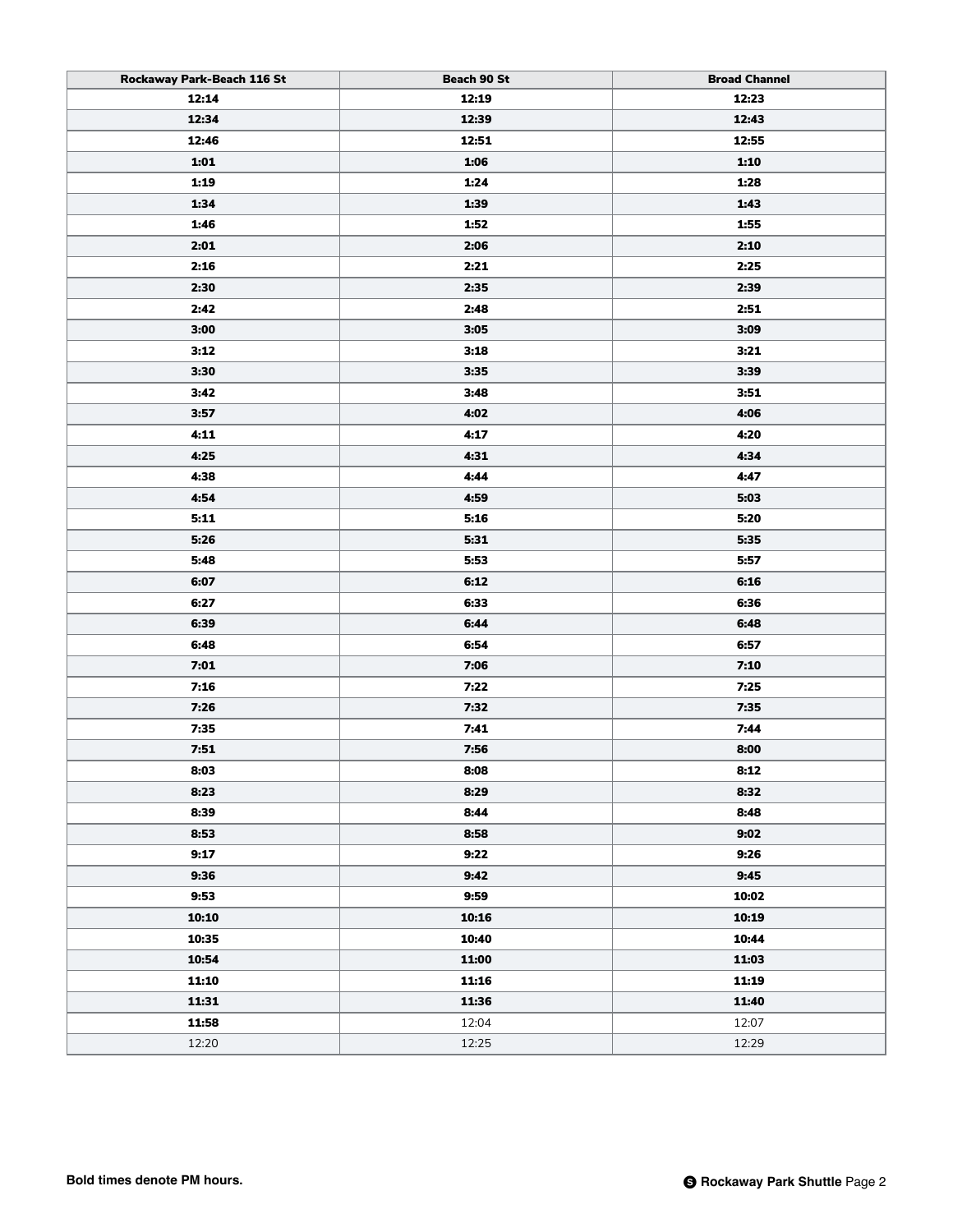| Rockaway Park-Beach 116 St | Beach 90 St | <b>Broad Channel</b> |
|----------------------------|-------------|----------------------|
| 12:14                      | 12:19       | 12:23                |
| 12:34                      | 12:39       | 12:43                |
| 12:46                      | 12:51       | 12:55                |
| 1:01                       | 1:06        | 1:10                 |
| 1:19                       | 1:24        | 1:28                 |
| 1:34                       | 1:39        | 1:43                 |
| 1:46                       | 1:52        | 1:55                 |
| 2:01                       | 2:06        | 2:10                 |
| 2:16                       | 2:21        | 2:25                 |
| 2:30                       | 2:35        | 2:39                 |
| 2:42                       | 2:48        | 2:51                 |
| 3:00                       | 3:05        | 3:09                 |
| 3:12                       | 3:18        | 3:21                 |
| 3:30                       | 3:35        | 3:39                 |
| 3:42                       | 3:48        | 3:51                 |
| 3:57                       | 4:02        | 4:06                 |
| 4:11                       | 4:17        | 4:20                 |
| 4:25                       | 4:31        | 4:34                 |
| 4:38                       | 4:44        | 4:47                 |
| 4:54                       | 4:59        | 5:03                 |
| 5:11                       | 5:16        | 5:20                 |
| 5:26                       | 5:31        | 5:35                 |
| 5:48                       | 5:53        | 5:57                 |
| 6:07                       | 6:12        | 6:16                 |
| 6:27                       | 6:33        | 6:36                 |
| 6:39                       | 6:44        | 6:48                 |
| 6:48                       | 6:54        | 6:57                 |
| 7:01                       | 7:06        | 7:10                 |
| 7:16                       | 7:22        | 7:25                 |
| 7:26                       | 7:32        | 7:35                 |
| 7:35                       | 7:41        | 7:44                 |
| 7:51                       | 7:56        | 8:00                 |
| 8:03                       | 8:08        | 8:12                 |
| 8:23                       | 8:29        | 8:32                 |
| 8:39                       | 8:44        | 8:48                 |
| 8:53                       | 8:58        | 9:02                 |
| 9:17                       | 9:22        | 9:26                 |
| 9:36                       | 9:42        | 9:45                 |
| 9:53                       | 9:59        | 10:02                |
| 10:10                      | 10:16       | 10:19                |
| 10:35                      | 10:40       | 10:44                |
| 10:54                      | 11:00       | 11:03                |
| 11:10                      | 11:16       | 11:19                |
| 11:31                      | 11:36       | 11:40                |
| 11:58                      | 12:04       | 12:07                |
| 12:20                      | 12:25       | 12:29                |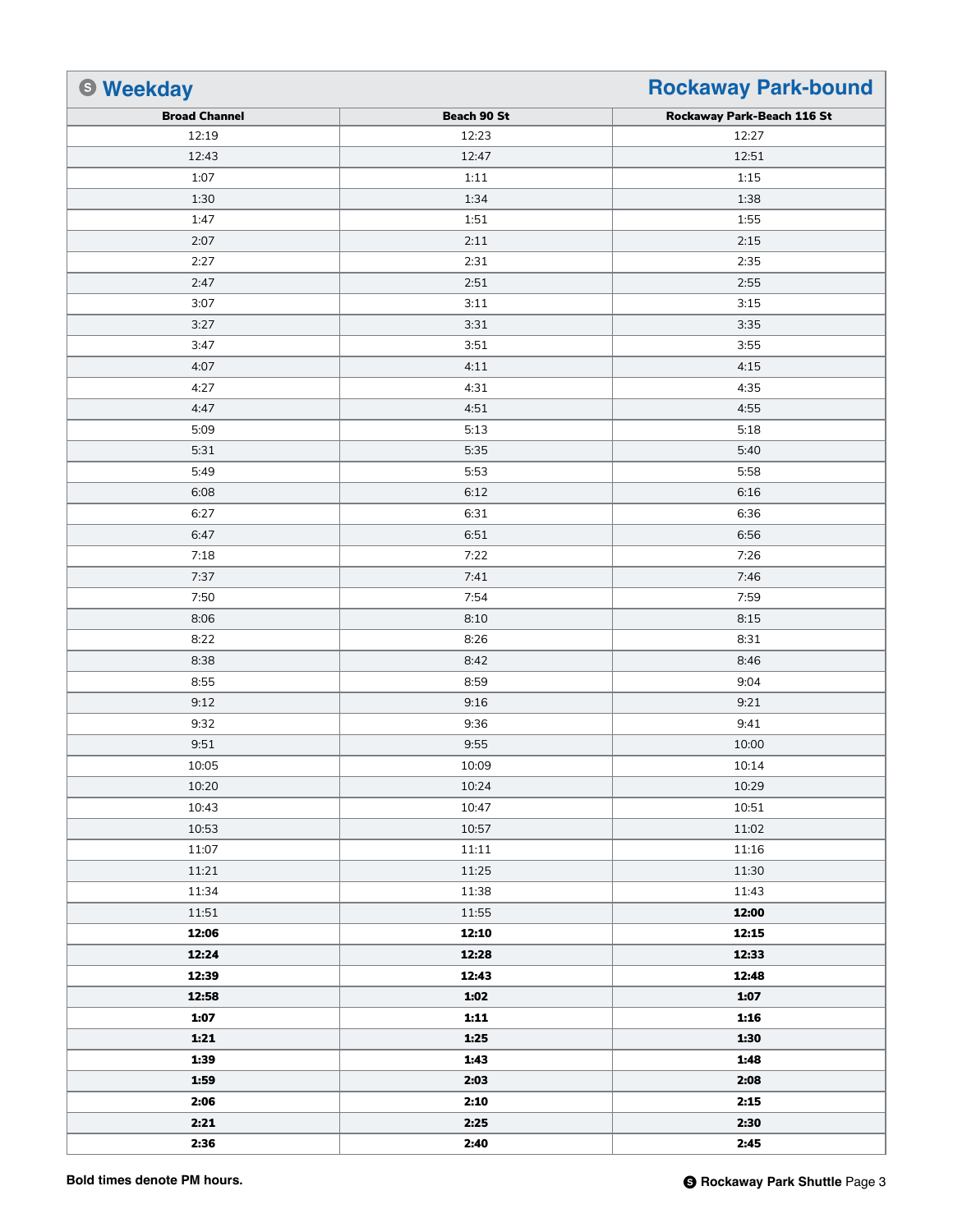| <b>6 Weekday</b>     | <b>Rockaway Park-bound</b> |                            |
|----------------------|----------------------------|----------------------------|
| <b>Broad Channel</b> | Beach 90 St                | Rockaway Park-Beach 116 St |
| 12:19                | 12:23                      | 12:27                      |
| 12:43                | 12:47                      | 12:51                      |
| 1:07                 | 1:11                       | 1:15                       |
| 1:30                 | 1:34                       | 1:38                       |
| 1:47                 | 1:51                       | 1:55                       |
| 2:07                 | 2:11                       | 2:15                       |
| 2:27                 | 2:31                       | 2:35                       |
| 2:47                 | 2:51                       | 2:55                       |
| 3:07                 | 3:11                       | 3:15                       |
| 3:27                 | 3:31                       | 3:35                       |
| 3:47                 | 3:51                       | 3:55                       |
| 4:07                 | 4:11                       | 4:15                       |
| 4:27                 | 4:31                       | 4:35                       |
| 4:47                 | 4:51                       | 4:55                       |
| 5:09                 | 5:13                       | 5:18                       |
| 5:31                 | 5:35                       | 5:40                       |
| 5:49                 | 5:53                       | 5:58                       |
| 6:08                 | 6:12                       | 6:16                       |
| 6:27                 | 6:31                       | 6:36                       |
| 6:47                 | 6:51                       | 6:56                       |
| 7:18                 | 7:22                       | 7:26                       |
| 7:37                 | 7:41                       | 7:46                       |
| 7:50                 | 7:54                       | 7:59                       |
| 8:06                 | 8:10                       | 8:15                       |
| 8:22                 | 8:26                       | 8:31                       |
| 8:38                 | 8:42                       | 8:46                       |
| 8:55                 | 8:59                       | 9:04                       |
| 9:12                 | 9:16                       | 9:21                       |
| 9:32                 | 9:36                       | 9:41                       |
| 9:51                 | 9:55                       | 10:00                      |
| 10:05                | 10:09                      | 10:14                      |
| 10:20                | 10:24                      | 10:29                      |
| 10:43                | 10:47                      | 10:51                      |
| 10:53                | 10:57                      | 11:02                      |
| 11:07                | 11:11                      | 11:16                      |
| 11:21                | 11:25                      | 11:30                      |
| 11:34                | 11:38                      | 11:43                      |
| 11:51                | 11:55                      | 12:00                      |
| 12:06                | 12:10                      | 12:15                      |
| 12:24                | 12:28                      | 12:33                      |
| 12:39                | 12:43                      | 12:48                      |
| 12:58                | 1:02                       | 1:07                       |
| 1:07                 | 1:11                       | 1:16                       |
| 1:21                 | 1:25                       | 1:30                       |
| 1:39                 | 1:43                       | 1:48                       |
| 1:59                 | 2:03                       | 2:08                       |
| 2:06                 | 2:10                       | 2:15                       |
| 2:21                 | 2:25                       | 2:30                       |
| 2:36                 | 2:40                       | 2:45                       |
|                      |                            |                            |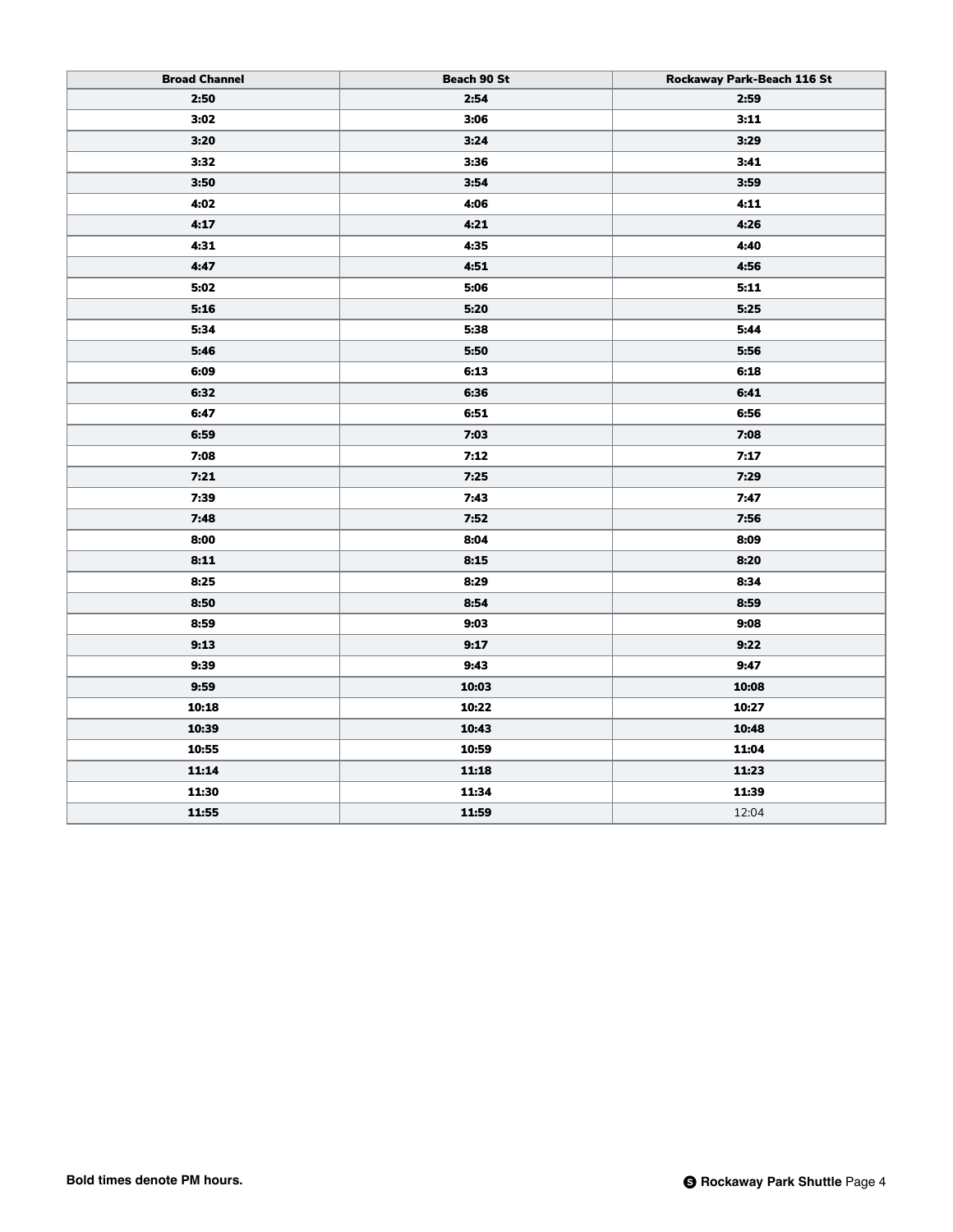| <b>Broad Channel</b> | Beach 90 St | Rockaway Park-Beach 116 St |
|----------------------|-------------|----------------------------|
| 2:50                 | 2:54        | 2:59                       |
| 3:02                 | 3:06        | 3:11                       |
| 3:20                 | 3:24        | 3:29                       |
| 3:32                 | 3:36        | 3:41                       |
| 3:50                 | 3:54        | 3:59                       |
| 4:02                 | 4:06        | 4:11                       |
| 4:17                 | 4:21        | 4:26                       |
| 4:31                 | 4:35        | 4:40                       |
| 4:47                 | 4:51        | 4:56                       |
| 5:02                 | 5:06        | 5:11                       |
| 5:16                 | 5:20        | 5:25                       |
| 5:34                 | 5:38        | 5:44                       |
| 5:46                 | 5:50        | 5:56                       |
| 6:09                 | 6:13        | 6:18                       |
| 6:32                 | 6:36        | 6:41                       |
| 6:47                 | 6:51        | 6:56                       |
| 6:59                 | 7:03        | 7:08                       |
| 7:08                 | 7:12        | 7:17                       |
| 7:21                 | 7:25        | 7:29                       |
| 7:39                 | 7:43        | 7:47                       |
| 7:48                 | 7:52        | 7:56                       |
| 8:00                 | 8:04        | 8:09                       |
| 8:11                 | 8:15        | 8:20                       |
| 8:25                 | 8:29        | 8:34                       |
| 8:50                 | 8:54        | 8:59                       |
| 8:59                 | 9:03        | 9:08                       |
| 9:13                 | 9:17        | 9:22                       |
| 9:39                 | 9:43        | 9:47                       |
| 9:59                 | 10:03       | 10:08                      |
| 10:18                | 10:22       | 10:27                      |
| 10:39                | 10:43       | 10:48                      |
| 10:55                | 10:59       | 11:04                      |
| 11:14                | 11:18       | 11:23                      |
| 11:30                | 11:34       | 11:39                      |
| 11:55                | 11:59       | 12:04                      |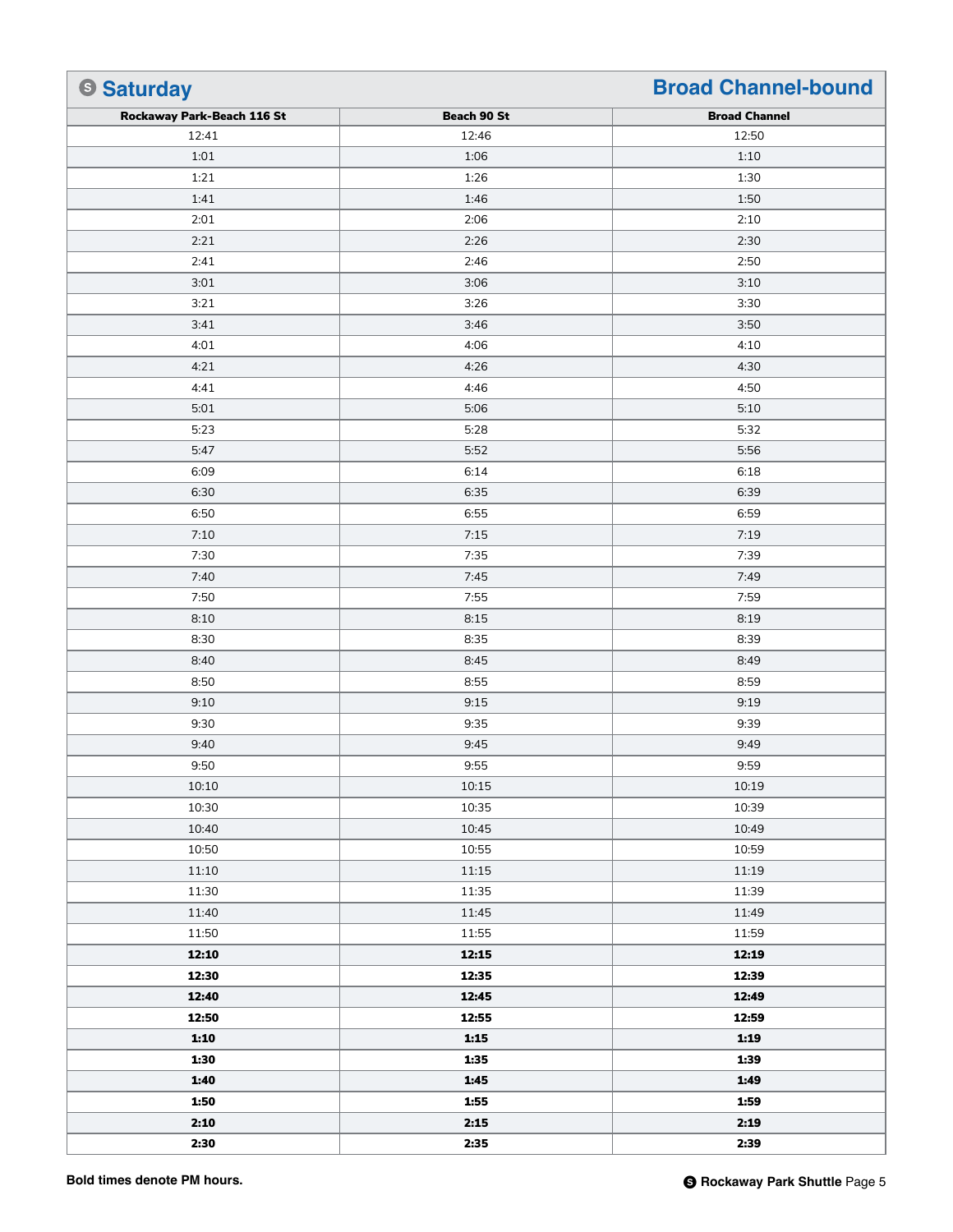| <b>Saturday</b>            |             | <b>Broad Channel-bound</b> |
|----------------------------|-------------|----------------------------|
| Rockaway Park-Beach 116 St | Beach 90 St | <b>Broad Channel</b>       |
| 12:41                      | 12:46       | 12:50                      |
| 1:01                       | 1:06        | 1:10                       |
| 1:21                       | 1:26        | 1:30                       |
| 1:41                       | 1:46        | 1:50                       |
| 2:01                       | 2:06        | 2:10                       |
| 2:21                       | 2:26        | 2:30                       |
| 2:41                       | 2:46        | 2:50                       |
| 3:01                       | 3:06        | 3:10                       |
| 3:21                       | 3:26        | 3:30                       |
| 3:41                       | 3:46        | 3:50                       |
| 4:01                       | 4:06        | 4:10                       |
| 4:21                       | 4:26        | 4:30                       |
| 4:41                       | 4:46        | 4:50                       |
| 5:01                       | 5:06        | 5:10                       |
| 5:23                       | 5:28        | 5:32                       |
| 5:47                       | 5:52        | 5:56                       |
| 6:09                       | 6:14        | 6:18                       |
| 6:30                       | 6:35        | 6:39                       |
| 6:50                       | 6:55        | 6:59                       |
| 7:10                       | 7:15        | 7:19                       |
| 7:30                       | 7:35        | 7:39                       |
| 7:40                       | 7:45        | 7:49                       |
| 7:50                       | 7:55        | 7:59                       |
| 8:10                       | 8:15        | 8:19                       |
| 8:30                       | 8:35        | 8:39                       |
| 8:40                       | 8:45        | 8:49                       |
| 8:50                       | 8:55        | 8:59                       |
| 9:10                       | 9:15        | 9:19                       |
| 9:30                       | 9:35        | 9:39                       |
| 9:40                       | 9:45        | 9:49                       |
| 9:50                       | 9:55        | 9:59                       |
| 10:10                      | 10:15       | 10:19                      |
| 10:30                      | 10:35       | 10:39                      |
| 10:40                      | 10:45       | 10:49                      |
| 10:50                      | 10:55       | 10:59                      |
| 11:10                      | 11:15       | 11:19                      |
| 11:30                      | 11:35       | 11:39                      |
| 11:40                      | 11:45       | 11:49                      |
| 11:50                      | 11:55       | 11:59                      |
| 12:10                      | 12:15       | 12:19                      |
| 12:30                      | 12:35       | 12:39                      |
| 12:40                      | 12:45       | 12:49                      |
| 12:50                      | 12:55       | 12:59                      |
| 1:10                       | 1:15        | 1:19                       |
| 1:30                       | 1:35        | 1:39                       |
| 1:40                       | 1:45        | 1:49                       |
| 1:50                       | 1:55        | 1:59                       |
| 2:10                       | 2:15        | 2:19                       |
| 2:30                       | 2:35        | 2:39                       |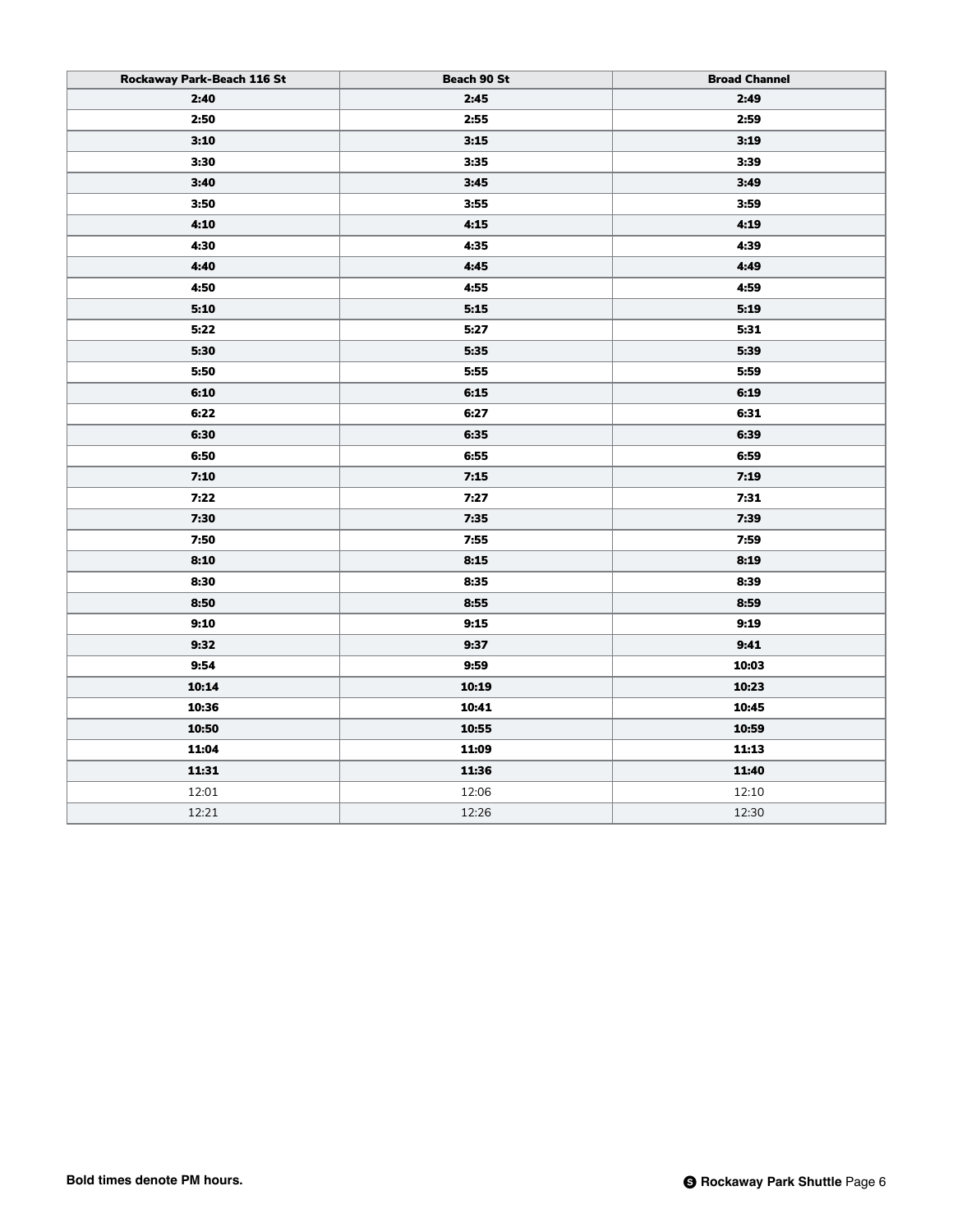| Rockaway Park-Beach 116 St | Beach 90 St | <b>Broad Channel</b> |
|----------------------------|-------------|----------------------|
| 2:40                       | 2:45        | 2:49                 |
| 2:50                       | 2:55        | 2:59                 |
| 3:10                       | 3:15        | 3:19                 |
| 3:30                       | 3:35        | 3:39                 |
| 3:40                       | 3:45        | 3:49                 |
| 3:50                       | 3:55        | 3:59                 |
| 4:10                       | 4:15        | 4:19                 |
| 4:30                       | 4:35        | 4:39                 |
| 4:40                       | 4:45        | 4:49                 |
| 4:50                       | 4:55        | 4:59                 |
| 5:10                       | 5:15        | 5:19                 |
| 5:22                       | 5:27        | 5:31                 |
| 5:30                       | 5:35        | 5:39                 |
| 5:50                       | 5:55        | 5:59                 |
| 6:10                       | 6:15        | 6:19                 |
| 6:22                       | 6:27        | 6:31                 |
| 6:30                       | 6:35        | 6:39                 |
| 6:50                       | 6:55        | 6:59                 |
| 7:10                       | 7:15        | 7:19                 |
| 7:22                       | 7:27        | 7:31                 |
| 7:30                       | 7:35        | 7:39                 |
| 7:50                       | 7:55        | 7:59                 |
| 8:10                       | 8:15        | 8:19                 |
| 8:30                       | 8:35        | 8:39                 |
| 8:50                       | 8:55        | 8:59                 |
| 9:10                       | 9:15        | 9:19                 |
| 9:32                       | 9:37        | 9:41                 |
| 9:54                       | 9:59        | 10:03                |
| 10:14                      | 10:19       | 10:23                |
| 10:36                      | 10:41       | 10:45                |
| 10:50                      | 10:55       | 10:59                |
| 11:04                      | 11:09       | 11:13                |
| 11:31                      | 11:36       | 11:40                |
| 12:01                      | 12:06       | 12:10                |
| 12:21                      | 12:26       | 12:30                |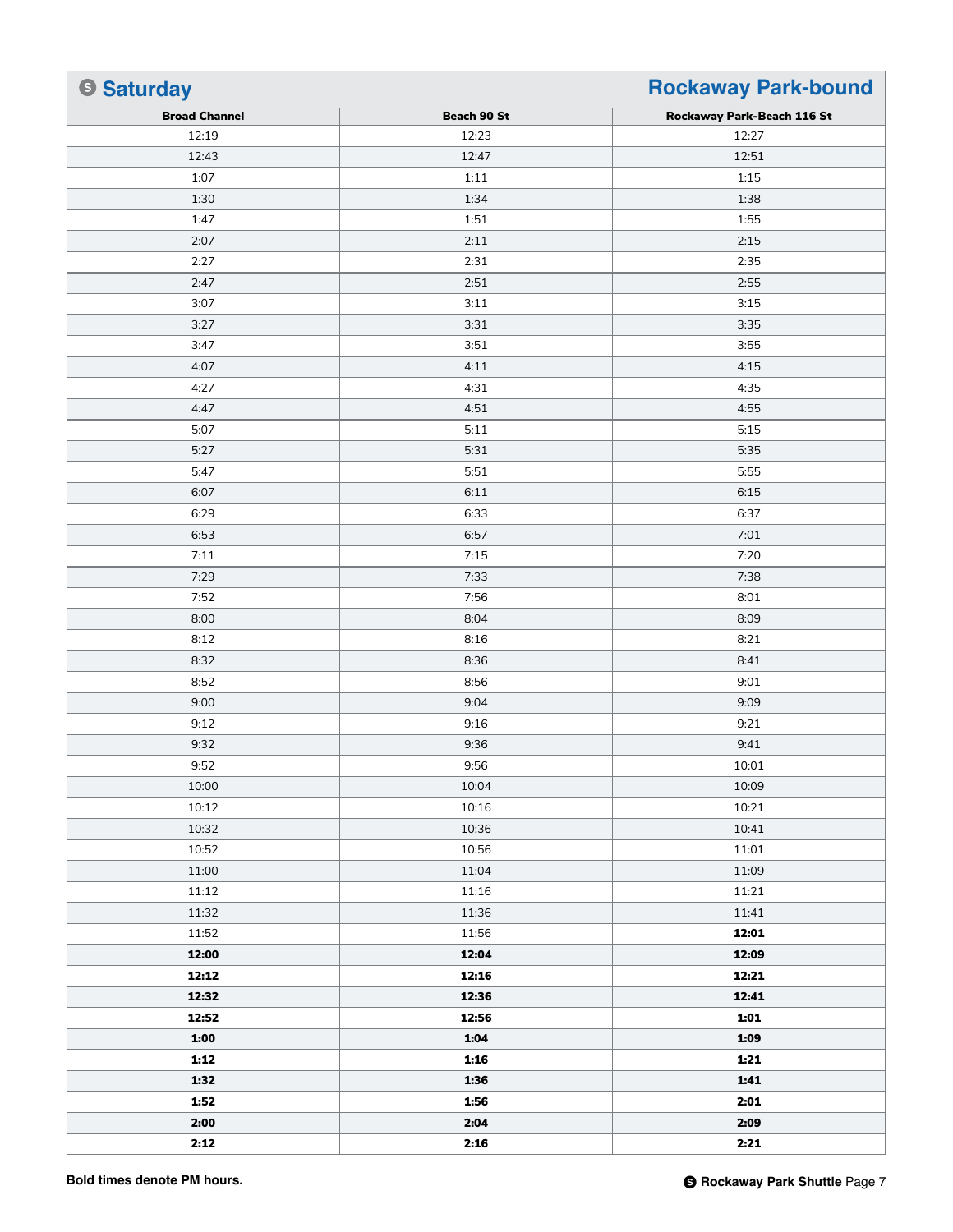| <b>Saturday</b>      |             | <b>Rockaway Park-bound</b> |
|----------------------|-------------|----------------------------|
| <b>Broad Channel</b> | Beach 90 St | Rockaway Park-Beach 116 St |
| 12:19                | 12:23       | 12:27                      |
| 12:43                | 12:47       | 12:51                      |
| 1:07                 | 1:11        | 1:15                       |
| 1:30                 | 1:34        | 1:38                       |
| 1:47                 | 1:51        | 1:55                       |
| 2:07                 | 2:11        | 2:15                       |
| 2:27                 | 2:31        | 2:35                       |
| 2:47                 | 2:51        | 2:55                       |
| 3:07                 | 3:11        | 3:15                       |
| 3:27                 | 3:31        | 3:35                       |
| 3:47                 | 3:51        | 3:55                       |
| 4:07                 | 4:11        | 4:15                       |
| 4:27                 | 4:31        | 4:35                       |
| 4:47                 | 4:51        | 4:55                       |
| 5:07                 | 5:11        | 5:15                       |
| 5:27                 | 5:31        | 5:35                       |
| 5:47                 | 5:51        | 5:55                       |
| 6:07                 | 6:11        | 6:15                       |
| 6:29                 | 6:33        | 6:37                       |
| 6:53                 | 6:57        | 7:01                       |
| 7:11                 | 7:15        | 7:20                       |
| 7:29                 | 7:33        | 7:38                       |
| 7:52                 | 7:56        | 8:01                       |
| 8:00                 | 8:04        | 8:09                       |
| 8:12                 | 8:16        | 8:21                       |
| 8:32                 | 8:36        | 8:41                       |
| 8:52                 | 8:56        | 9:01                       |
| 9:00                 | 9:04        | 9:09                       |
| 9:12                 | 9:16        | 9:21                       |
| 9:32                 | 9:36        | 9:41                       |
| 9:52                 | 9:56        | 10:01                      |
| 10:00                | 10:04       | 10:09                      |
| 10:12                | 10:16       | 10:21                      |
| 10:32                | 10:36       | 10:41                      |
| 10:52                | 10:56       | 11:01                      |
| 11:00                | 11:04       | 11:09                      |
| 11:12                | 11:16       | 11:21                      |
| 11:32                | 11:36       | 11:41                      |
| 11:52                | 11:56       | 12:01                      |
| 12:00                | 12:04       | 12:09                      |
| 12:12                | 12:16       | 12:21                      |
| 12:32                | 12:36       | 12:41                      |
| 12:52                | 12:56       | 1:01                       |
| 1:00                 | 1:04        | 1:09                       |
| 1:12                 | 1:16        | 1:21                       |
| 1:32                 | 1:36        | 1:41                       |
| 1:52                 | 1:56        | 2:01                       |
| 2:00                 | 2:04        | 2:09                       |
| 2:12                 | 2:16        | 2:21                       |
|                      |             |                            |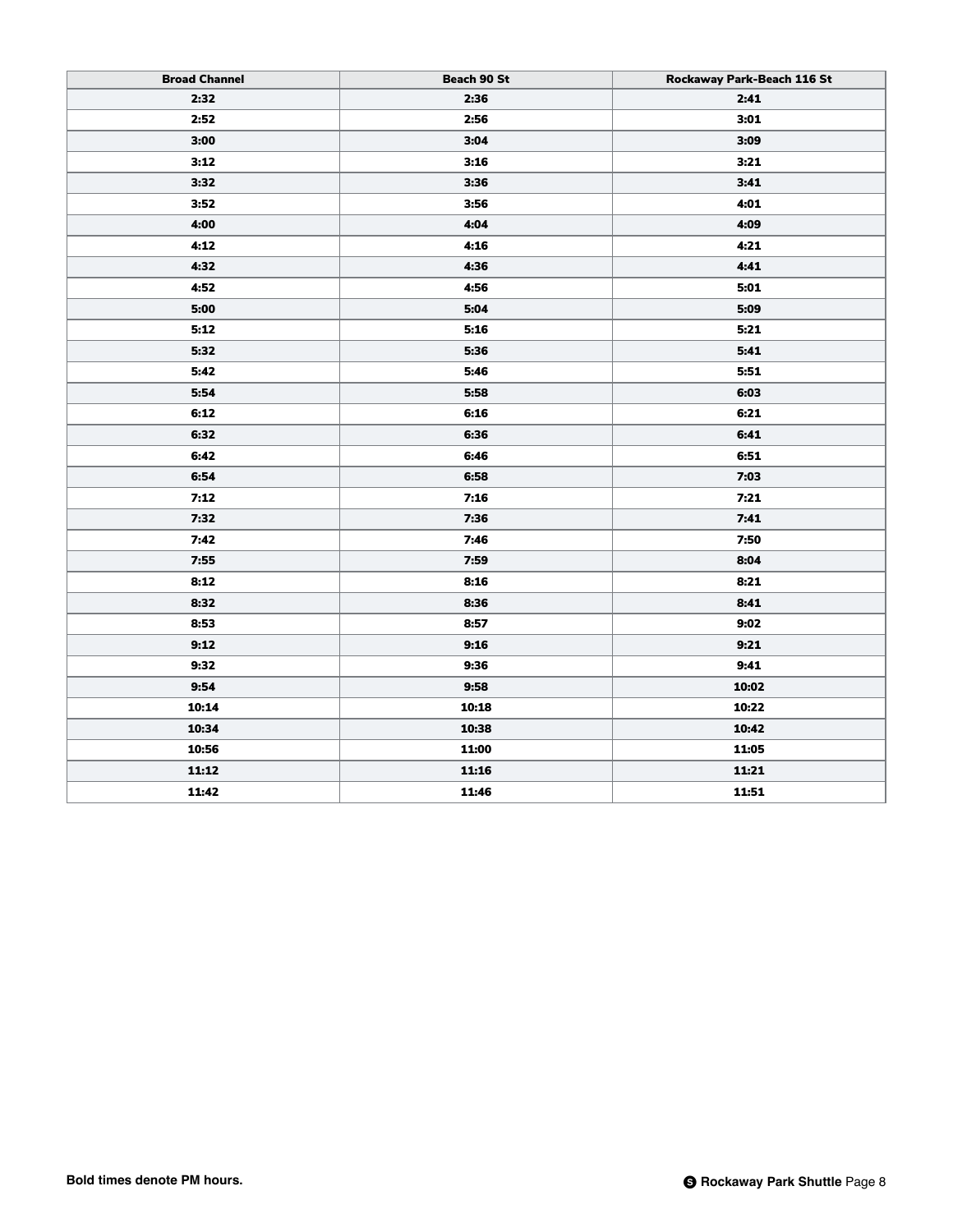| <b>Broad Channel</b> | Beach 90 St | Rockaway Park-Beach 116 St |
|----------------------|-------------|----------------------------|
| 2:32                 | 2:36        | 2:41                       |
| 2:52                 | 2:56        | 3:01                       |
| 3:00                 | 3:04        | 3:09                       |
| 3:12                 | 3:16        | 3:21                       |
| 3:32                 | 3:36        | 3:41                       |
| 3:52                 | 3:56        | 4:01                       |
| 4:00                 | 4:04        | 4:09                       |
| 4:12                 | 4:16        | 4:21                       |
| 4:32                 | 4:36        | 4:41                       |
| 4:52                 | 4:56        | 5:01                       |
| 5:00                 | 5:04        | 5:09                       |
| 5:12                 | 5:16        | 5:21                       |
| 5:32                 | 5:36        | 5:41                       |
| 5:42                 | 5:46        | 5:51                       |
| 5:54                 | 5:58        | 6:03                       |
| 6:12                 | 6:16        | 6:21                       |
| 6:32                 | 6:36        | 6:41                       |
| 6:42                 | 6:46        | 6:51                       |
| 6:54                 | 6:58        | 7:03                       |
| 7:12                 | 7:16        | 7:21                       |
| 7:32                 | 7:36        | 7:41                       |
| 7:42                 | 7:46        | 7:50                       |
| 7:55                 | 7:59        | 8:04                       |
| 8:12                 | 8:16        | 8:21                       |
| 8:32                 | 8:36        | 8:41                       |
| 8:53                 | 8:57        | 9:02                       |
| 9:12                 | 9:16        | 9:21                       |
| 9:32                 | 9:36        | 9:41                       |
| 9:54                 | 9:58        | 10:02                      |
| 10:14                | 10:18       | 10:22                      |
| 10:34                | 10:38       | 10:42                      |
| 10:56                | 11:00       | 11:05                      |
| 11:12                | 11:16       | 11:21                      |
| 11:42                | 11:46       | 11:51                      |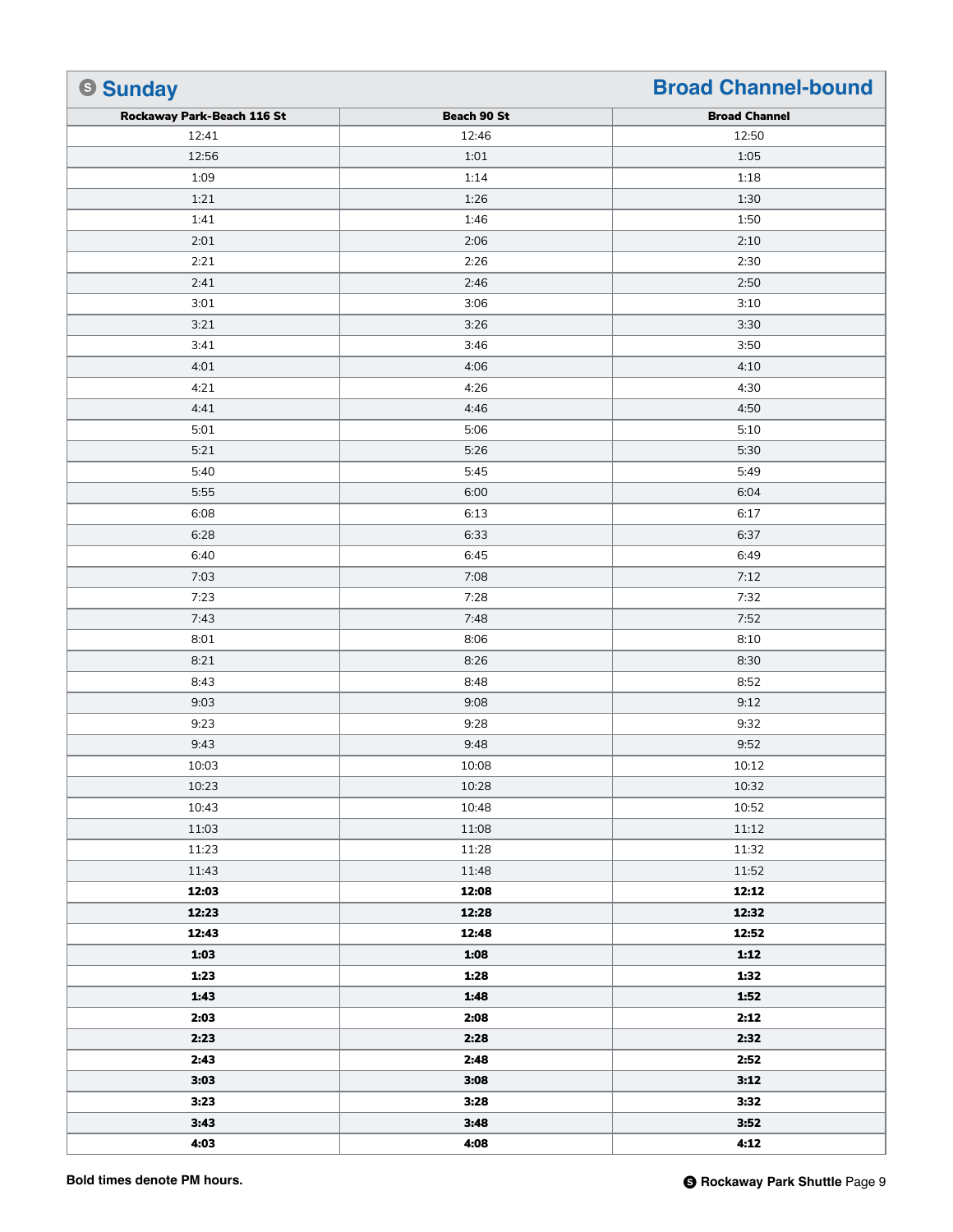| <b>Sunday</b>              |             | <b>Broad Channel-bound</b> |
|----------------------------|-------------|----------------------------|
| Rockaway Park-Beach 116 St | Beach 90 St | <b>Broad Channel</b>       |
| 12:41                      | 12:46       | 12:50                      |
| 12:56                      | 1:01        | 1:05                       |
| 1:09                       | 1:14        | 1:18                       |
| 1:21                       | 1:26        | 1:30                       |
| 1:41                       | 1:46        | 1:50                       |
| 2:01                       | 2:06        | 2:10                       |
| 2:21                       | 2:26        | 2:30                       |
| 2:41                       | 2:46        | 2:50                       |
| 3:01                       | 3:06        | 3:10                       |
| 3:21                       | 3:26        | 3:30                       |
| 3:41                       | 3:46        | 3:50                       |
| 4:01                       | 4:06        | 4:10                       |
| 4:21                       | 4:26        | 4:30                       |
| 4:41                       | 4:46        | 4:50                       |
| 5:01                       | 5:06        | 5:10                       |
| 5:21                       | 5:26        | 5:30                       |
| 5:40                       | 5:45        | 5:49                       |
| 5:55                       | 6:00        | 6:04                       |
| 6:08                       | 6:13        | 6:17                       |
| 6:28                       | 6:33        | 6:37                       |
| 6:40                       | 6:45        | 6:49                       |
| 7:03                       | 7:08        | 7:12                       |
| 7:23                       | 7:28        | 7:32                       |
| 7:43                       | 7:48        | 7:52                       |
| 8:01                       | 8:06        | 8:10                       |
| 8:21                       | 8:26        | 8:30                       |
| 8:43                       | 8:48        | 8:52                       |
| 9:03                       | 9:08        | 9:12                       |
| 9:23                       | 9:28        | 9:32                       |
| 9:43                       | 9:48        | 9:52                       |
| 10:03                      | 10:08       | 10:12                      |
| 10:23                      | 10:28       | 10:32                      |
| 10:43                      | 10:48       | 10:52                      |
| 11:03                      | 11:08       | 11:12                      |
| 11:23                      | 11:28       | 11:32                      |
| 11:43                      | 11:48       | 11:52                      |
| 12:03                      | 12:08       | 12:12                      |
| 12:23                      | 12:28       | 12:32                      |
| 12:43                      | 12:48       | 12:52                      |
| 1:03                       | 1:08        | 1:12                       |
| 1:23                       | 1:28        | 1:32                       |
| 1:43                       | 1:48        | 1:52                       |
| 2:03                       | 2:08        | 2:12                       |
| 2:23                       | 2:28        | 2:32                       |
| 2:43                       | 2:48        | 2:52                       |
| 3:03                       | 3:08        | 3:12                       |
| 3:23                       | 3:28        | 3:32                       |
| 3:43                       | 3:48        | 3:52                       |
| 4:03                       | 4:08        | 4:12                       |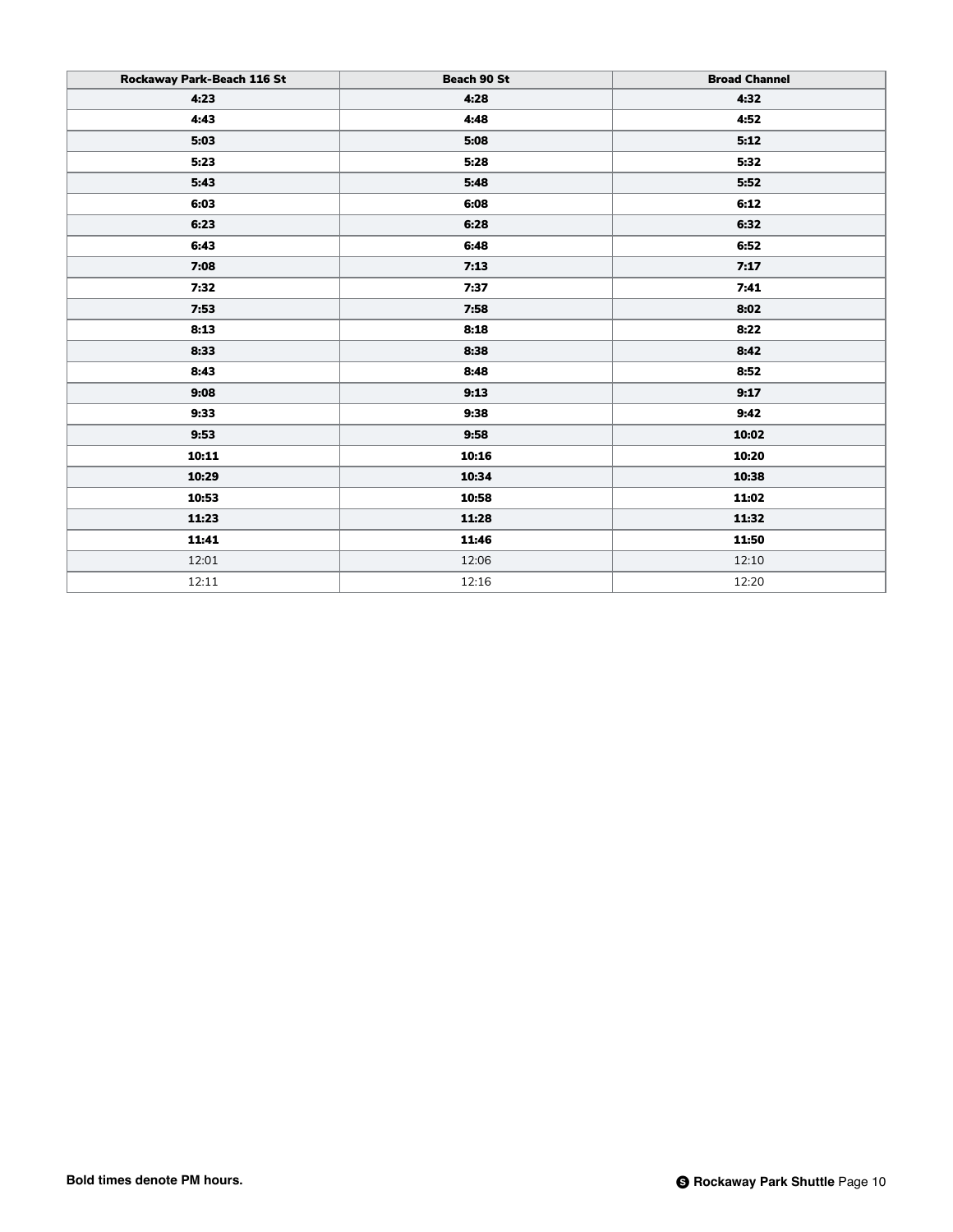| Rockaway Park-Beach 116 St | Beach 90 St | <b>Broad Channel</b> |
|----------------------------|-------------|----------------------|
| 4:23                       | 4:28        | 4:32                 |
| 4:43                       | 4:48        | 4:52                 |
| 5:03                       | 5:08        | 5:12                 |
| 5:23                       | 5:28        | 5:32                 |
| 5:43                       | 5:48        | 5:52                 |
| 6:03                       | 6:08        | 6:12                 |
| 6:23                       | 6:28        | 6:32                 |
| 6:43                       | 6:48        | 6:52                 |
| 7:08                       | 7:13        | 7:17                 |
| 7:32                       | 7:37        | 7:41                 |
| 7:53                       | 7:58        | 8:02                 |
| 8:13                       | 8:18        | 8:22                 |
| 8:33                       | 8:38        | 8:42                 |
| 8:43                       | 8:48        | 8:52                 |
| 9:08                       | 9:13        | 9:17                 |
| 9:33                       | 9:38        | 9:42                 |
| 9:53                       | 9:58        | 10:02                |
| 10:11                      | 10:16       | 10:20                |
| 10:29                      | 10:34       | 10:38                |
| 10:53                      | 10:58       | 11:02                |
| 11:23                      | 11:28       | 11:32                |
| 11:41                      | 11:46       | 11:50                |
| 12:01                      | 12:06       | 12:10                |
| 12:11                      | 12:16       | 12:20                |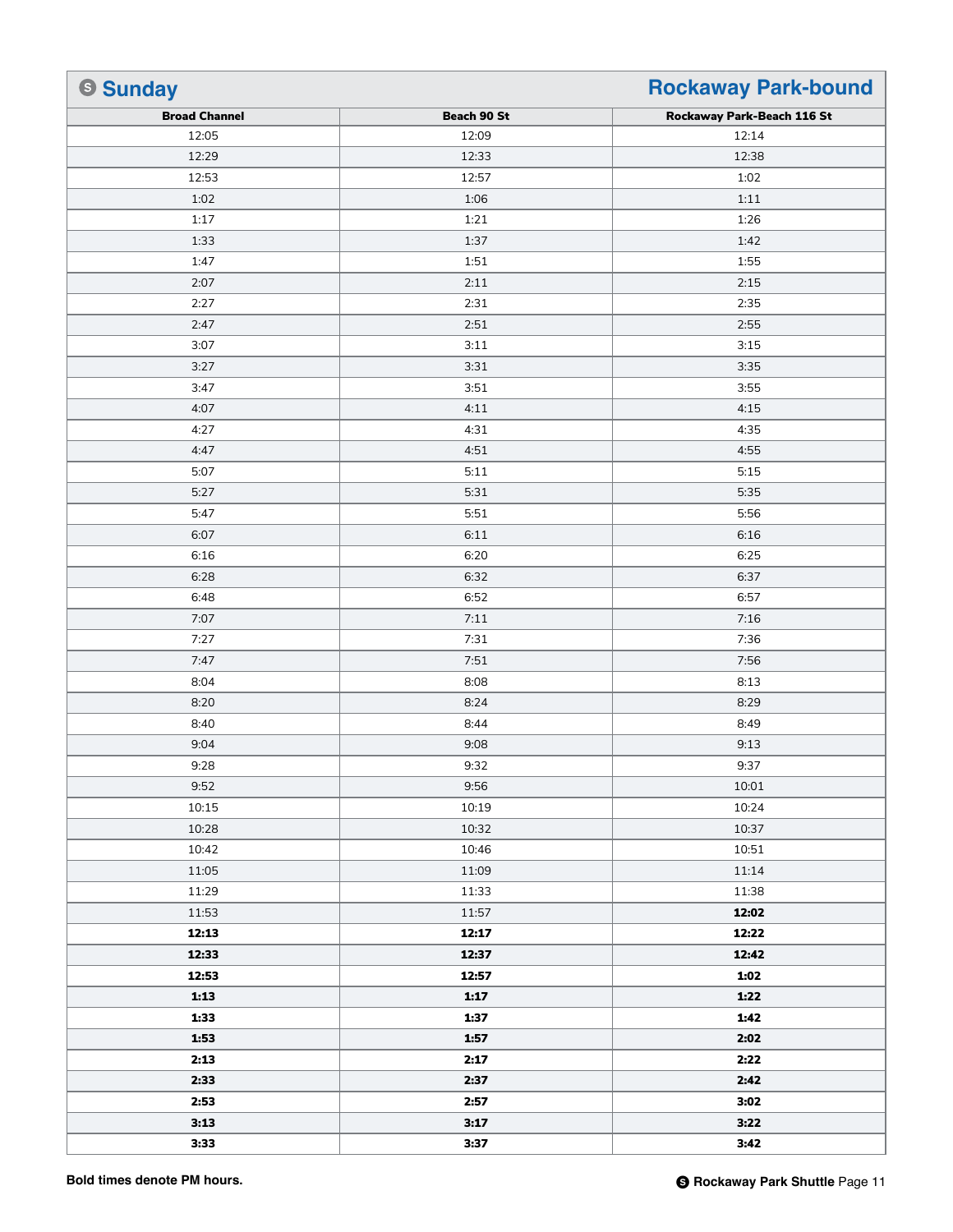| <b>Sunday</b>        |             | <b>Rockaway Park-bound</b> |
|----------------------|-------------|----------------------------|
| <b>Broad Channel</b> | Beach 90 St | Rockaway Park-Beach 116 St |
| 12:05                | 12:09       | 12:14                      |
| 12:29                | 12:33       | 12:38                      |
| 12:53                | 12:57       | 1:02                       |
| 1:02                 | 1:06        | 1:11                       |
| 1:17                 | 1:21        | 1:26                       |
| 1:33                 | 1:37        | 1:42                       |
| 1:47                 | 1:51        | 1:55                       |
| 2:07                 | 2:11        | 2:15                       |
| 2:27                 | 2:31        | 2:35                       |
| 2:47                 | 2:51        | 2:55                       |
| 3:07                 | 3:11        | 3:15                       |
| 3:27                 | 3:31        | 3:35                       |
| 3:47                 | 3:51        | 3:55                       |
| 4:07                 | 4:11        | 4:15                       |
| 4:27                 | 4:31        | 4:35                       |
| 4:47                 | 4:51        | 4:55                       |
| 5:07                 | 5:11        | 5:15                       |
| 5:27                 | 5:31        | 5:35                       |
| 5:47                 | 5:51        | 5:56                       |
| 6:07                 | 6:11        | 6:16                       |
| 6:16                 | 6:20        | 6:25                       |
| 6:28                 | 6:32        | 6:37                       |
| 6:48                 | 6:52        | 6:57                       |
| 7:07                 | 7:11        | 7:16                       |
| 7:27                 | 7:31        | 7:36                       |
| 7:47                 | 7:51        | 7:56                       |
| 8:04                 | 8:08        | 8:13                       |
| 8:20                 | 8:24        | 8:29                       |
| 8:40                 | 8:44        | 8:49                       |
| 9:04                 | 9:08        | 9:13                       |
| 9:28                 | 9:32        | 9:37                       |
| 9:52                 | 9:56        | 10:01                      |
| 10:15                | 10:19       | 10:24                      |
| 10:28                | 10:32       | 10:37                      |
| 10:42                | 10:46       | 10:51                      |
| 11:05                | 11:09       | 11:14                      |
| 11:29                | 11:33       | 11:38                      |
| 11:53                | 11:57       | 12:02                      |
| 12:13                | 12:17       | 12:22                      |
| 12:33                | 12:37       | 12:42                      |
| 12:53                | 12:57       | 1:02                       |
| 1:13                 | 1:17        | 1:22                       |
| 1:33                 | 1:37        | 1:42                       |
| 1:53                 | 1:57        | 2:02                       |
| 2:13                 | 2:17        | 2:22                       |
| 2:33                 | 2:37        | 2:42                       |
| 2:53                 | 2:57        | 3:02                       |
| 3:13                 | 3:17        | 3:22                       |
| 3:33                 | 3:37        | 3:42                       |
|                      |             |                            |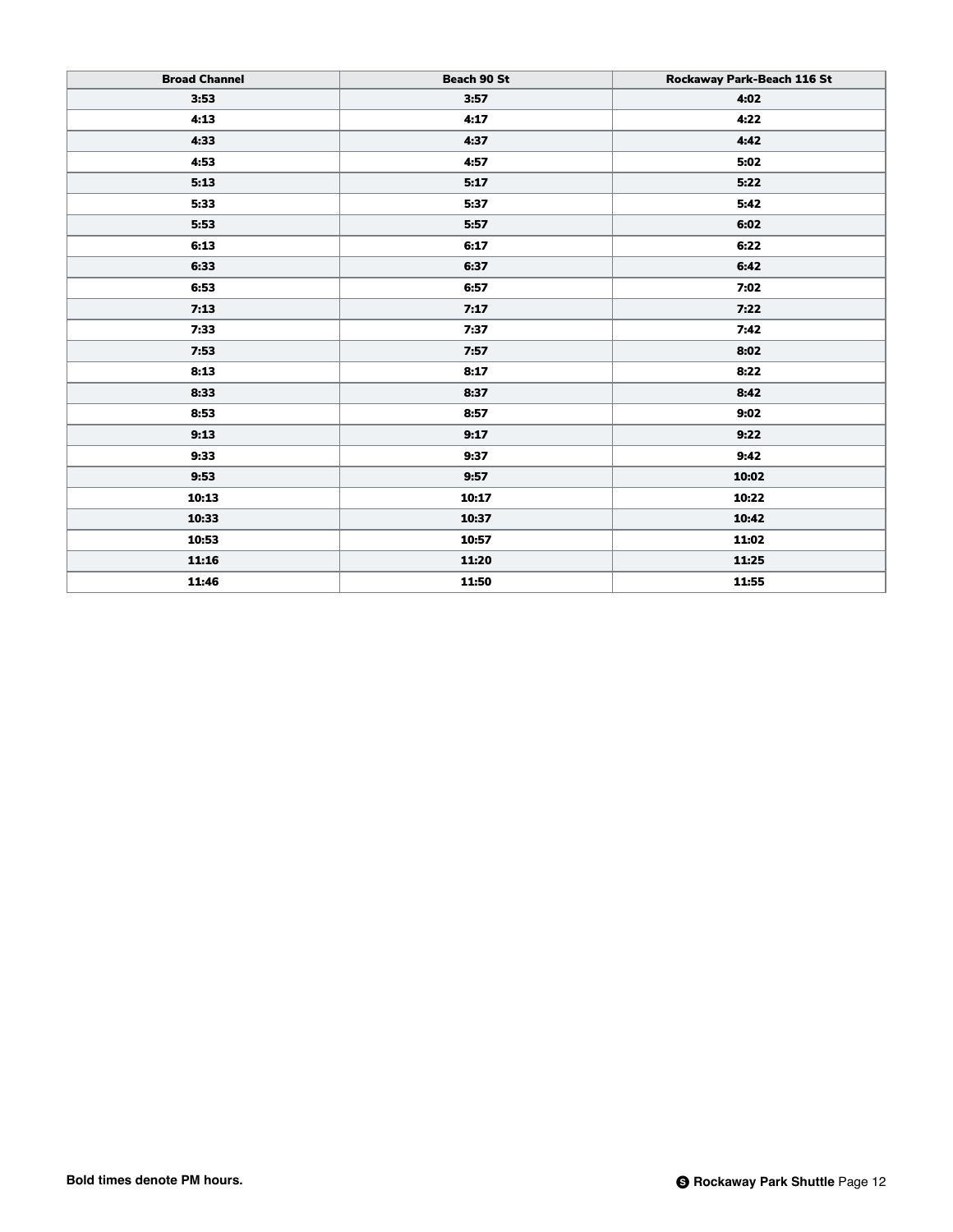| <b>Broad Channel</b> | Beach 90 St | Rockaway Park-Beach 116 St |
|----------------------|-------------|----------------------------|
| 3:53                 | 3:57        | 4:02                       |
| 4:13                 | 4:17        | 4:22                       |
| 4:33                 | 4:37        | 4:42                       |
| 4:53                 | 4:57        | 5:02                       |
| 5:13                 | 5:17        | 5:22                       |
| 5:33                 | 5:37        | 5:42                       |
| 5:53                 | 5:57        | 6:02                       |
| 6:13                 | 6:17        | 6:22                       |
| 6:33                 | 6:37        | 6:42                       |
| 6:53                 | 6:57        | 7:02                       |
| 7:13                 | 7:17        | 7:22                       |
| 7:33                 | 7:37        | 7:42                       |
| 7:53                 | 7:57        | 8:02                       |
| 8:13                 | 8:17        | 8:22                       |
| 8:33                 | 8:37        | 8:42                       |
| 8:53                 | 8:57        | 9:02                       |
| 9:13                 | 9:17        | 9:22                       |
| 9:33                 | 9:37        | 9:42                       |
| 9:53                 | 9:57        | 10:02                      |
| 10:13                | 10:17       | 10:22                      |
| 10:33                | 10:37       | 10:42                      |
| 10:53                | 10:57       | 11:02                      |
| 11:16                | 11:20       | 11:25                      |
| 11:46                | 11:50       | 11:55                      |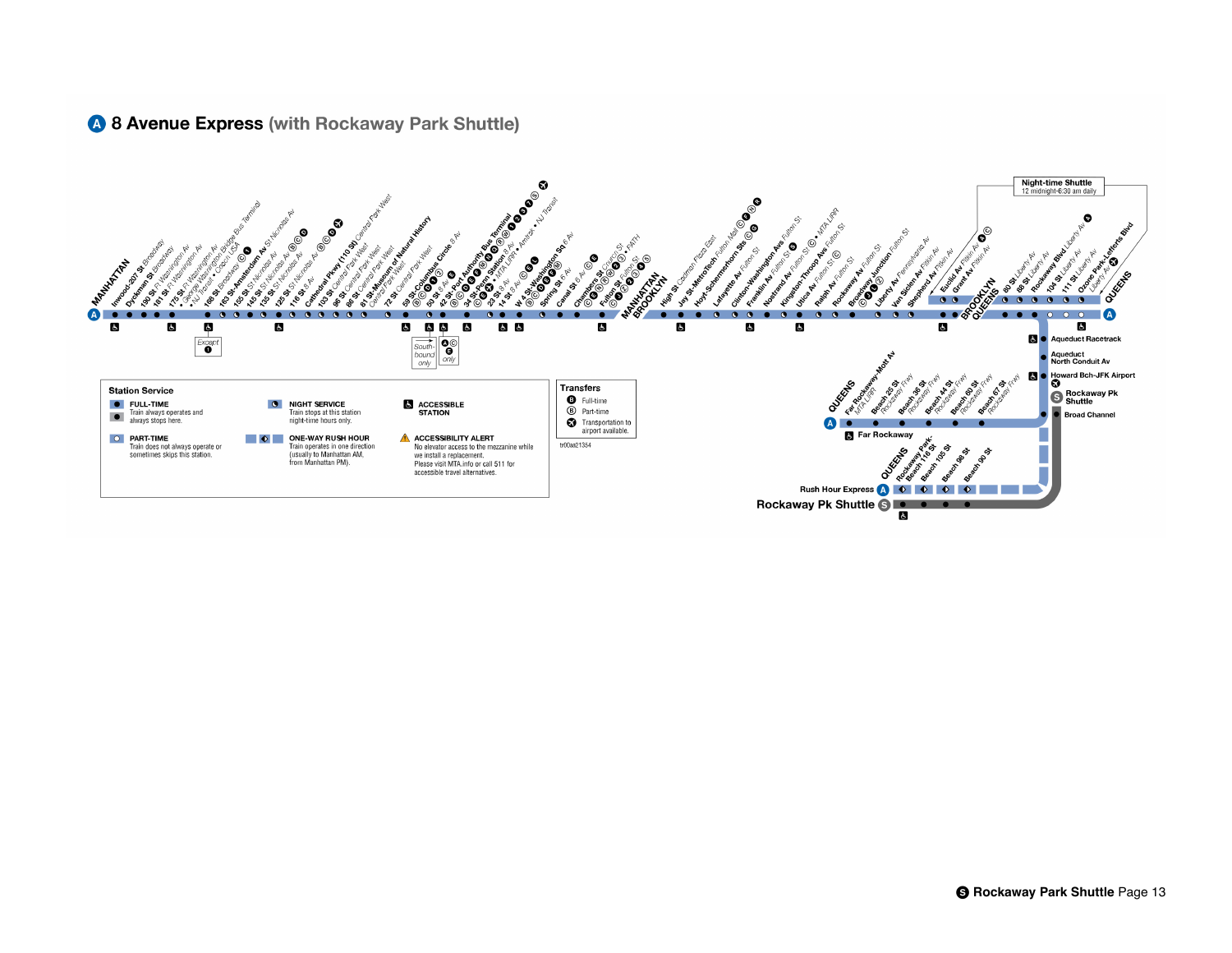## 4 8 Avenue Express (with Rockaway Park Shuttle)